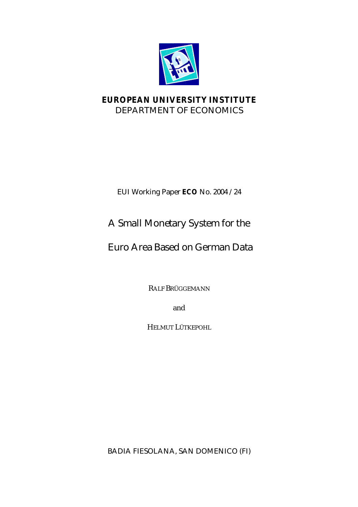

## **EUROPEAN UNIVERSITY INSTITUTE** DEPARTMENT OF ECONOMICS

EUI Working Paper **ECO** No. 2004 /24

# A Small Monetary System for the

## Euro Area Based on German Data

RALF BRÜGGEMANN

and

HELMUT LÜTKEPOHL

BADIA FIESOLANA, SAN DOMENICO (FI)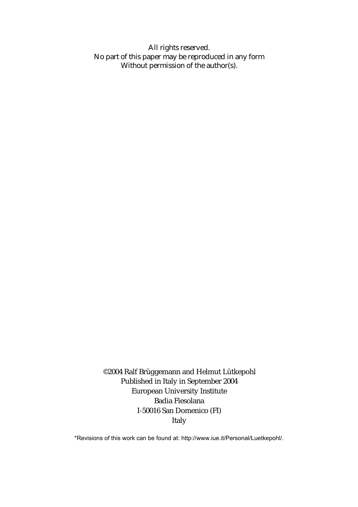All rights reserved. No part of this paper may be reproduced in any form Without permission of the author(s).

©2004 Ralf Brüggemann and Helmut Lütkepohl Published in Italy in September 2004 European University Institute Badia Fiesolana I-50016 San Domenico (FI) Italy

\*Revisions of this work can be found at: http://www.iue.it/Personal/Luetkepohl/.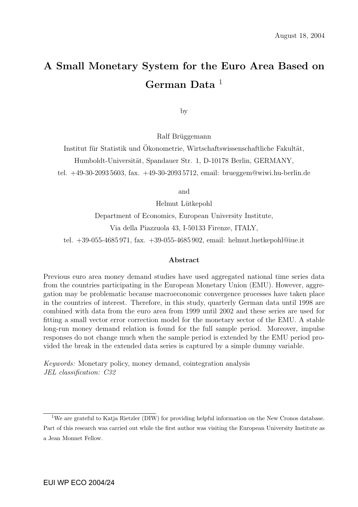# A Small Monetary System for the Euro Area Based on German Data $1$

by

Ralf Brüggemann

Institut für Statistik und Ökonometrie, Wirtschaftswissenschaftliche Fakultät, Humboldt-Universität, Spandauer Str. 1, D-10178 Berlin, GERMANY,

tel. +49-30-2093 5603, fax. +49-30-2093 5712, email: brueggem@wiwi.hu-berlin.de

and

Helmut Lütkepohl

Department of Economics, European University Institute, Via della Piazzuola 43, I-50133 Firenze, ITALY, tel. +39-055-4685 971, fax. +39-055-4685 902, email: helmut.luetkepohl@iue.it

#### Abstract

Previous euro area money demand studies have used aggregated national time series data from the countries participating in the European Monetary Union (EMU). However, aggregation may be problematic because macroeconomic convergence processes have taken place in the countries of interest. Therefore, in this study, quarterly German data until 1998 are combined with data from the euro area from 1999 until 2002 and these series are used for fitting a small vector error correction model for the monetary sector of the EMU. A stable long-run money demand relation is found for the full sample period. Moreover, impulse responses do not change much when the sample period is extended by the EMU period provided the break in the extended data series is captured by a simple dummy variable.

Keywords: Monetary policy, money demand, cointegration analysis JEL classification: C32

<sup>&</sup>lt;sup>1</sup>We are grateful to Katja Rietzler (DIW) for providing helpful information on the New Cronos database. Part of this research was carried out while the first author was visiting the European University Institute as a Jean Monnet Fellow.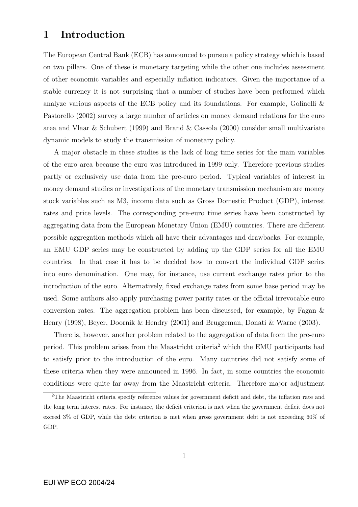## 1 Introduction

The European Central Bank (ECB) has announced to pursue a policy strategy which is based on two pillars. One of these is monetary targeting while the other one includes assessment of other economic variables and especially inflation indicators. Given the importance of a stable currency it is not surprising that a number of studies have been performed which analyze various aspects of the ECB policy and its foundations. For example, Golinelli & Pastorello (2002) survey a large number of articles on money demand relations for the euro area and Vlaar & Schubert (1999) and Brand & Cassola (2000) consider small multivariate dynamic models to study the transmission of monetary policy.

A major obstacle in these studies is the lack of long time series for the main variables of the euro area because the euro was introduced in 1999 only. Therefore previous studies partly or exclusively use data from the pre-euro period. Typical variables of interest in money demand studies or investigations of the monetary transmission mechanism are money stock variables such as M3, income data such as Gross Domestic Product (GDP), interest rates and price levels. The corresponding pre-euro time series have been constructed by aggregating data from the European Monetary Union (EMU) countries. There are different possible aggregation methods which all have their advantages and drawbacks. For example, an EMU GDP series may be constructed by adding up the GDP series for all the EMU countries. In that case it has to be decided how to convert the individual GDP series into euro denomination. One may, for instance, use current exchange rates prior to the introduction of the euro. Alternatively, fixed exchange rates from some base period may be used. Some authors also apply purchasing power parity rates or the official irrevocable euro conversion rates. The aggregation problem has been discussed, for example, by Fagan & Henry (1998), Beyer, Doornik & Hendry (2001) and Bruggeman, Donati & Warne (2003).

There is, however, another problem related to the aggregation of data from the pre-euro period. This problem arises from the Maastricht criteria<sup>2</sup> which the EMU participants had to satisfy prior to the introduction of the euro. Many countries did not satisfy some of these criteria when they were announced in 1996. In fact, in some countries the economic conditions were quite far away from the Maastricht criteria. Therefore major adjustment

<sup>&</sup>lt;sup>2</sup>The Maastricht criteria specify reference values for government deficit and debt, the inflation rate and the long term interest rates. For instance, the deficit criterion is met when the government deficit does not exceed 3% of GDP, while the debt criterion is met when gross government debt is not exceeding 60% of GDP.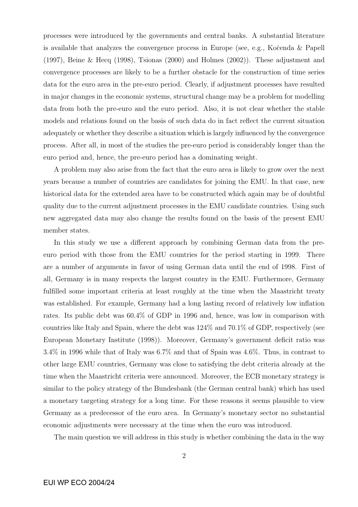processes were introduced by the governments and central banks. A substantial literature is available that analyzes the convergence process in Europe (see, e.g., Ko $\check{c}$ enda  $\&$  Papell (1997), Beine & Hecq (1998), Tsionas (2000) and Holmes (2002)). These adjustment and convergence processes are likely to be a further obstacle for the construction of time series data for the euro area in the pre-euro period. Clearly, if adjustment processes have resulted in major changes in the economic systems, structural change may be a problem for modelling data from both the pre-euro and the euro period. Also, it is not clear whether the stable models and relations found on the basis of such data do in fact reflect the current situation adequately or whether they describe a situation which is largely influenced by the convergence process. After all, in most of the studies the pre-euro period is considerably longer than the euro period and, hence, the pre-euro period has a dominating weight.

A problem may also arise from the fact that the euro area is likely to grow over the next years because a number of countries are candidates for joining the EMU. In that case, new historical data for the extended area have to be constructed which again may be of doubtful quality due to the current adjustment processes in the EMU candidate countries. Using such new aggregated data may also change the results found on the basis of the present EMU member states.

In this study we use a different approach by combining German data from the preeuro period with those from the EMU countries for the period starting in 1999. There are a number of arguments in favor of using German data until the end of 1998. First of all, Germany is in many respects the largest country in the EMU. Furthermore, Germany fulfilled some important criteria at least roughly at the time when the Maastricht treaty was established. For example, Germany had a long lasting record of relatively low inflation rates. Its public debt was 60.4% of GDP in 1996 and, hence, was low in comparison with countries like Italy and Spain, where the debt was 124% and 70.1% of GDP, respectively (see European Monetary Institute (1998)). Moreover, Germany's government deficit ratio was 3.4% in 1996 while that of Italy was 6.7% and that of Spain was 4.6%. Thus, in contrast to other large EMU countries, Germany was close to satisfying the debt criteria already at the time when the Maastricht criteria were announced. Moreover, the ECB monetary strategy is similar to the policy strategy of the Bundesbank (the German central bank) which has used a monetary targeting strategy for a long time. For these reasons it seems plausible to view Germany as a predecessor of the euro area. In Germany's monetary sector no substantial economic adjustments were necessary at the time when the euro was introduced.

The main question we will address in this study is whether combining the data in the way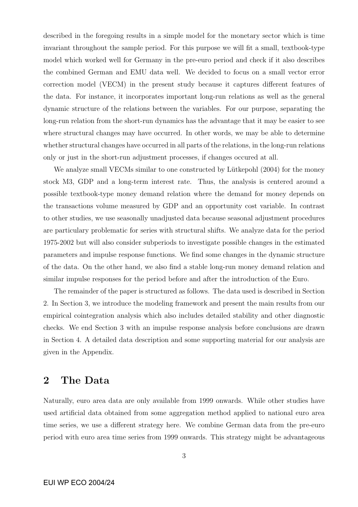described in the foregoing results in a simple model for the monetary sector which is time invariant throughout the sample period. For this purpose we will fit a small, textbook-type model which worked well for Germany in the pre-euro period and check if it also describes the combined German and EMU data well. We decided to focus on a small vector error correction model (VECM) in the present study because it captures different features of the data. For instance, it incorporates important long-run relations as well as the general dynamic structure of the relations between the variables. For our purpose, separating the long-run relation from the short-run dynamics has the advantage that it may be easier to see where structural changes may have occurred. In other words, we may be able to determine whether structural changes have occurred in all parts of the relations, in the long-run relations only or just in the short-run adjustment processes, if changes occured at all.

We analyze small VECMs similar to one constructed by Lütkepohl (2004) for the money stock M3, GDP and a long-term interest rate. Thus, the analysis is centered around a possible textbook-type money demand relation where the demand for money depends on the transactions volume measured by GDP and an opportunity cost variable. In contrast to other studies, we use seasonally unadjusted data because seasonal adjustment procedures are particulary problematic for series with structural shifts. We analyze data for the period 1975-2002 but will also consider subperiods to investigate possible changes in the estimated parameters and impulse response functions. We find some changes in the dynamic structure of the data. On the other hand, we also find a stable long-run money demand relation and similar impulse responses for the period before and after the introduction of the Euro.

The remainder of the paper is structured as follows. The data used is described in Section 2. In Section 3, we introduce the modeling framework and present the main results from our empirical cointegration analysis which also includes detailed stability and other diagnostic checks. We end Section 3 with an impulse response analysis before conclusions are drawn in Section 4. A detailed data description and some supporting material for our analysis are given in the Appendix.

### 2 The Data

Naturally, euro area data are only available from 1999 onwards. While other studies have used artificial data obtained from some aggregation method applied to national euro area time series, we use a different strategy here. We combine German data from the pre-euro period with euro area time series from 1999 onwards. This strategy might be advantageous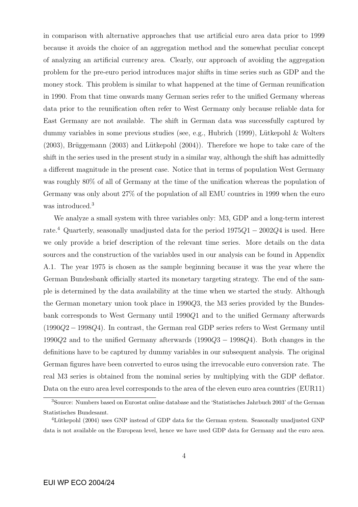in comparison with alternative approaches that use artificial euro area data prior to 1999 because it avoids the choice of an aggregation method and the somewhat peculiar concept of analyzing an artificial currency area. Clearly, our approach of avoiding the aggregation problem for the pre-euro period introduces major shifts in time series such as GDP and the money stock. This problem is similar to what happened at the time of German reunification in 1990. From that time onwards many German series refer to the unified Germany whereas data prior to the reunification often refer to West Germany only because reliable data for East Germany are not available. The shift in German data was successfully captured by dummy variables in some previous studies (see, e.g., Hubrich (1999), Lütkepohl & Wolters  $(2003)$ , Brüggemann  $(2003)$  and Lütkepohl  $(2004)$ ). Therefore we hope to take care of the shift in the series used in the present study in a similar way, although the shift has admittedly a different magnitude in the present case. Notice that in terms of population West Germany was roughly 80% of all of Germany at the time of the unification whereas the population of Germany was only about 27% of the population of all EMU countries in 1999 when the euro was introduced.<sup>3</sup>

We analyze a small system with three variables only: M3, GDP and a long-term interest rate.<sup>4</sup> Quarterly, seasonally unadjusted data for the period  $1975Q1 - 2002Q4$  is used. Here we only provide a brief description of the relevant time series. More details on the data sources and the construction of the variables used in our analysis can be found in Appendix A.1. The year 1975 is chosen as the sample beginning because it was the year where the German Bundesbank officially started its monetary targeting strategy. The end of the sample is determined by the data availability at the time when we started the study. Although the German monetary union took place in 1990Q3, the M3 series provided by the Bundesbank corresponds to West Germany until 1990Q1 and to the unified Germany afterwards (1990Q2 − 1998Q4). In contrast, the German real GDP series refers to West Germany until 1990Q2 and to the unified Germany afterwards (1990Q3 − 1998Q4). Both changes in the definitions have to be captured by dummy variables in our subsequent analysis. The original German figures have been converted to euros using the irrevocable euro conversion rate. The real M3 series is obtained from the nominal series by multiplying with the GDP deflator. Data on the euro area level corresponds to the area of the eleven euro area countries (EUR11)

<sup>3</sup>Source: Numbers based on Eurostat online database and the 'Statistisches Jahrbuch 2003' of the German Statistisches Bundesamt.

<sup>&</sup>lt;sup>4</sup>Lütkepohl (2004) uses GNP instead of GDP data for the German system. Seasonally unadjusted GNP data is not available on the European level, hence we have used GDP data for Germany and the euro area.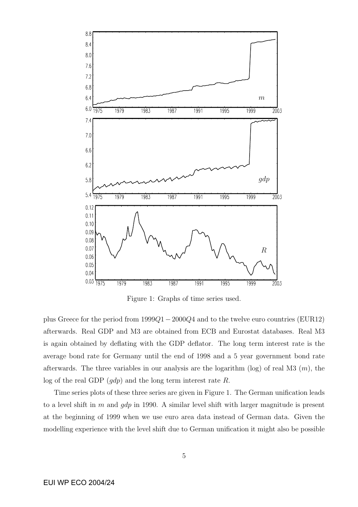

Figure 1: Graphs of time series used.

plus Greece for the period from 1999Q1−2000Q4 and to the twelve euro countries (EUR12) afterwards. Real GDP and M3 are obtained from ECB and Eurostat databases. Real M3 is again obtained by deflating with the GDP deflator. The long term interest rate is the average bond rate for Germany until the end of 1998 and a 5 year government bond rate afterwards. The three variables in our analysis are the logarithm (log) of real M3  $(m)$ , the log of the real GDP  $(gdp)$  and the long term interest rate R.

Time series plots of these three series are given in Figure 1. The German unification leads to a level shift in m and  $qdp$  in 1990. A similar level shift with larger magnitude is present at the beginning of 1999 when we use euro area data instead of German data. Given the modelling experience with the level shift due to German unification it might also be possible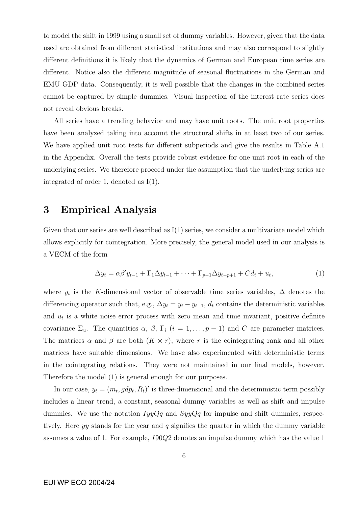to model the shift in 1999 using a small set of dummy variables. However, given that the data used are obtained from different statistical institutions and may also correspond to slightly different definitions it is likely that the dynamics of German and European time series are different. Notice also the different magnitude of seasonal fluctuations in the German and EMU GDP data. Consequently, it is well possible that the changes in the combined series cannot be captured by simple dummies. Visual inspection of the interest rate series does not reveal obvious breaks.

All series have a trending behavior and may have unit roots. The unit root properties have been analyzed taking into account the structural shifts in at least two of our series. We have applied unit root tests for different subperiods and give the results in Table A.1 in the Appendix. Overall the tests provide robust evidence for one unit root in each of the underlying series. We therefore proceed under the assumption that the underlying series are integrated of order 1, denoted as I(1).

## 3 Empirical Analysis

Given that our series are well described as  $I(1)$  series, we consider a multivariate model which allows explicitly for cointegration. More precisely, the general model used in our analysis is a VECM of the form

$$
\Delta y_t = \alpha \beta' y_{t-1} + \Gamma_1 \Delta y_{t-1} + \dots + \Gamma_{p-1} \Delta y_{t-p+1} + C d_t + u_t, \tag{1}
$$

where  $y_t$  is the K-dimensional vector of observable time series variables,  $\Delta$  denotes the differencing operator such that, e.g.,  $\Delta y_t = y_t - y_{t-1}$ ,  $d_t$  contains the deterministic variables and  $u_t$  is a white noise error process with zero mean and time invariant, positive definite covariance  $\Sigma_u$ . The quantities  $\alpha$ ,  $\beta$ ,  $\Gamma_i$   $(i = 1, \ldots, p-1)$  and C are parameter matrices. The matrices  $\alpha$  and  $\beta$  are both  $(K \times r)$ , where r is the cointegrating rank and all other matrices have suitable dimensions. We have also experimented with deterministic terms in the cointegrating relations. They were not maintained in our final models, however. Therefore the model (1) is general enough for our purposes.

In our case,  $y_t = (m_t, gdp_t, R_t)'$  is three-dimensional and the deterministic term possibly includes a linear trend, a constant, seasonal dummy variables as well as shift and impulse dummies. We use the notation  $IyyQq$  and  $SyyQq$  for impulse and shift dummies, respectively. Here  $yy$  stands for the year and  $q$  signifies the quarter in which the dummy variable assumes a value of 1. For example, I90Q2 denotes an impulse dummy which has the value 1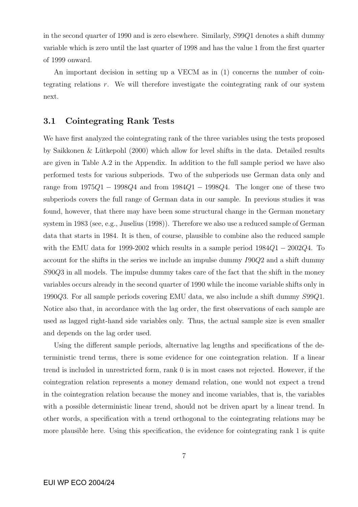in the second quarter of 1990 and is zero elsewhere. Similarly, S99Q1 denotes a shift dummy variable which is zero until the last quarter of 1998 and has the value 1 from the first quarter of 1999 onward.

An important decision in setting up a VECM as in (1) concerns the number of cointegrating relations r. We will therefore investigate the cointegrating rank of our system next.

#### 3.1 Cointegrating Rank Tests

We have first analyzed the cointegrating rank of the three variables using the tests proposed by Saikkonen & Lütkepohl  $(2000)$  which allow for level shifts in the data. Detailed results are given in Table A.2 in the Appendix. In addition to the full sample period we have also performed tests for various subperiods. Two of the subperiods use German data only and range from  $1975Q1 - 1998Q4$  and from  $1984Q1 - 1998Q4$ . The longer one of these two subperiods covers the full range of German data in our sample. In previous studies it was found, however, that there may have been some structural change in the German monetary system in 1983 (see, e.g., Juselius (1998)). Therefore we also use a reduced sample of German data that starts in 1984. It is then, of course, plausible to combine also the reduced sample with the EMU data for 1999-2002 which results in a sample period  $1984Q1 - 2002Q4$ . To account for the shifts in the series we include an impulse dummy I90Q2 and a shift dummy S90Q3 in all models. The impulse dummy takes care of the fact that the shift in the money variables occurs already in the second quarter of 1990 while the income variable shifts only in 1990Q3. For all sample periods covering EMU data, we also include a shift dummy S99Q1. Notice also that, in accordance with the lag order, the first observations of each sample are used as lagged right-hand side variables only. Thus, the actual sample size is even smaller and depends on the lag order used.

Using the different sample periods, alternative lag lengths and specifications of the deterministic trend terms, there is some evidence for one cointegration relation. If a linear trend is included in unrestricted form, rank 0 is in most cases not rejected. However, if the cointegration relation represents a money demand relation, one would not expect a trend in the cointegration relation because the money and income variables, that is, the variables with a possible deterministic linear trend, should not be driven apart by a linear trend. In other words, a specification with a trend orthogonal to the cointegrating relations may be more plausible here. Using this specification, the evidence for cointegrating rank 1 is quite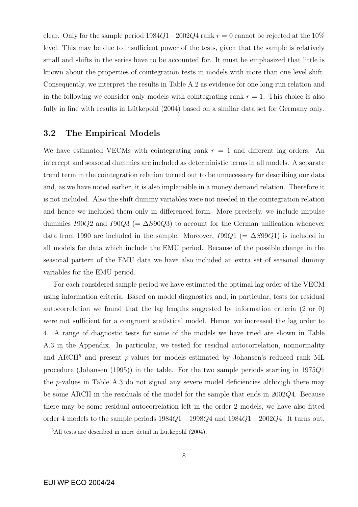clear. Only for the sample period  $1984Q1-2002Q4$  rank  $r = 0$  cannot be rejected at the  $10\%$ level. This may be due to insufficient power of the tests, given that the sample is relatively small and shifts in the series have to be accounted for. It must be emphasized that little is known about the properties of cointegration tests in models with more than one level shift. Consequently, we interpret the results in Table A.2 as evidence for one long-run relation and in the following we consider only models with cointegrating rank  $r = 1$ . This choice is also fully in line with results in Lütkepohl (2004) based on a similar data set for Germany only.

#### 3.2 The Empirical Models

We have estimated VECMs with cointegrating rank  $r = 1$  and different lag orders. An intercept and seasonal dummies are included as deterministic terms in all models. A separate trend term in the cointegration relation turned out to be unnecessary for describing our data and, as we have noted earlier, it is also implausible in a money demand relation. Therefore it is not included. Also the shift dummy variables were not needed in the cointegration relation and hence we included them only in differenced form. More precisely, we include impulse dummies I90Q2 and I90Q3 (=  $\Delta S$ 90Q3) to account for the German unification whenever data from 1990 are included in the sample. Moreover,  $I99Q1$  (=  $\Delta S99Q1$ ) is included in all models for data which include the EMU period. Because of the possible change in the seasonal pattern of the EMU data we have also included an extra set of seasonal dummy variables for the EMU period.

For each considered sample period we have estimated the optimal lag order of the VECM using information criteria. Based on model diagnostics and, in particular, tests for residual autocorrelation we found that the lag lengths suggested by information criteria (2 or 0) were not sufficient for a congruent statistical model. Hence, we increased the lag order to 4. A range of diagnostic tests for some of the models we have tried are shown in Table A.3 in the Appendix. In particular, we tested for residual autocorrelation, nonnormality and ARCH<sup>5</sup> and present p-values for models estimated by Johansen's reduced rank ML procedure (Johansen (1995)) in the table. For the two sample periods starting in 1975Q1 the  $p$ -values in Table A.3 do not signal any severe model deficiencies although there may be some ARCH in the residuals of the model for the sample that ends in 2002Q4. Because there may be some residual autocorrelation left in the order 2 models, we have also fitted order 4 models to the sample periods 1984Q1−1998Q4 and 1984Q1−2002Q4. It turns out,

 $5$ All tests are described in more detail in Lütkepohl  $(2004)$ .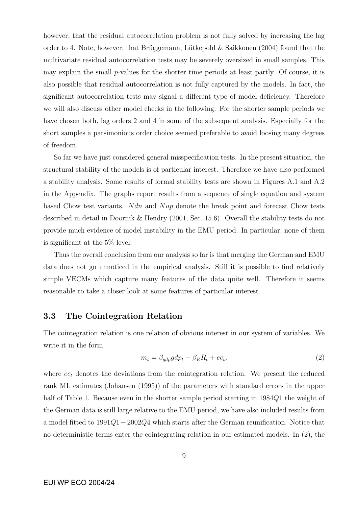however, that the residual autocorrelation problem is not fully solved by increasing the lag order to 4. Note, however, that Brüggemann, Lütkepohl & Saikkonen (2004) found that the multivariate residual autocorrelation tests may be severely oversized in small samples. This may explain the small p-values for the shorter time periods at least partly. Of course, it is also possible that residual autocorrelation is not fully captured by the models. In fact, the significant autocorrelation tests may signal a different type of model deficiency. Therefore we will also discuss other model checks in the following. For the shorter sample periods we have chosen both, lag orders 2 and 4 in some of the subsequent analysis. Especially for the short samples a parsimonious order choice seemed preferable to avoid loosing many degrees of freedom.

So far we have just considered general misspecification tests. In the present situation, the structural stability of the models is of particular interest. Therefore we have also performed a stability analysis. Some results of formal stability tests are shown in Figures A.1 and A.2 in the Appendix. The graphs report results from a sequence of single equation and system based Chow test variants. Ndn and Nup denote the break point and forecast Chow tests described in detail in Doornik & Hendry (2001, Sec. 15.6). Overall the stability tests do not provide much evidence of model instability in the EMU period. In particular, none of them is significant at the 5% level.

Thus the overall conclusion from our analysis so far is that merging the German and EMU data does not go unnoticed in the empirical analysis. Still it is possible to find relatively simple VECMs which capture many features of the data quite well. Therefore it seems reasonable to take a closer look at some features of particular interest.

#### 3.3 The Cointegration Relation

The cointegration relation is one relation of obvious interest in our system of variables. We write it in the form

$$
m_t = \beta_{gdp} g dp_t + \beta_R R_t + e c_t, \qquad (2)
$$

where  $ec_t$  denotes the deviations from the cointegration relation. We present the reduced rank ML estimates (Johansen (1995)) of the parameters with standard errors in the upper half of Table 1. Because even in the shorter sample period starting in 1984Q1 the weight of the German data is still large relative to the EMU period, we have also included results from a model fitted to 1991Q1−2002Q4 which starts after the German reunification. Notice that no deterministic terms enter the cointegrating relation in our estimated models. In (2), the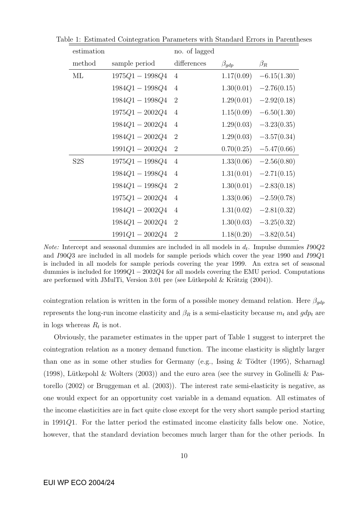| estimation       |                   | no. of lagged  |               |               |
|------------------|-------------------|----------------|---------------|---------------|
| method           | sample period     | differences    | $\beta_{gdp}$ | $\beta_R$     |
| МL               | $1975Q1 - 1998Q4$ | $\overline{4}$ | 1.17(0.09)    | $-6.15(1.30)$ |
|                  | $1984Q1 - 1998Q4$ | $\overline{4}$ | 1.30(0.01)    | $-2.76(0.15)$ |
|                  | $1984Q1 - 1998Q4$ | $\overline{2}$ | 1.29(0.01)    | $-2.92(0.18)$ |
|                  | $1975Q1 - 2002Q4$ | $\overline{4}$ | 1.15(0.09)    | $-6.50(1.30)$ |
|                  | $1984Q1 - 2002Q4$ | $\overline{4}$ | 1.29(0.03)    | $-3.23(0.35)$ |
|                  | $1984Q1 - 2002Q4$ | $\overline{2}$ | 1.29(0.03)    | $-3.57(0.34)$ |
|                  | $1991Q1 - 2002Q4$ | $\overline{2}$ | 0.70(0.25)    | $-5.47(0.66)$ |
| S <sub>2</sub> S | $1975Q1 - 1998Q4$ | $\overline{4}$ | 1.33(0.06)    | $-2.56(0.80)$ |
|                  | $1984Q1 - 1998Q4$ | $\overline{4}$ | 1.31(0.01)    | $-2.71(0.15)$ |
|                  | $1984Q1 - 1998Q4$ | $\overline{2}$ | 1.30(0.01)    | $-2.83(0.18)$ |
|                  | $1975Q1 - 2002Q4$ | $\overline{4}$ | 1.33(0.06)    | $-2.59(0.78)$ |
|                  | $1984Q1 - 2002Q4$ | $\overline{4}$ | 1.31(0.02)    | $-2.81(0.32)$ |
|                  | $1984Q1 - 2002Q4$ | $\overline{2}$ | 1.30(0.03)    | $-3.25(0.32)$ |
|                  | $1991Q1 - 2002Q4$ | $\overline{2}$ | 1.18(0.20)    | $-3.82(0.54)$ |

Table 1: Estimated Cointegration Parameters with Standard Errors in Parentheses

*Note:* Intercept and seasonal dummies are included in all models in  $d_t$ . Impulse dummies  $I90Q2$ and I90Q3 are included in all models for sample periods which cover the year 1990 and I99Q1 is included in all models for sample periods covering the year 1999. An extra set of seasonal dummies is included for  $1999Q1 - 2002Q4$  for all models covering the EMU period. Computations are performed with JMulTi, Version 3.01 pre (see Lütkepohl  $\&$  Krätzig (2004)).

cointegration relation is written in the form of a possible money demand relation. Here  $\beta_{gdp}$ represents the long-run income elasticity and  $\beta_R$  is a semi-elasticity because  $m_t$  and  $gdp_t$  are in logs whereas  $R_t$  is not.

Obviously, the parameter estimates in the upper part of Table 1 suggest to interpret the cointegration relation as a money demand function. The income elasticity is slightly larger than one as in some other studies for Germany (e.g., Issing  $&$  Tödter (1995), Scharnagl (1998), Lütkepohl & Wolters (2003)) and the euro area (see the survey in Golinelli & Pastorello (2002) or Bruggeman et al. (2003)). The interest rate semi-elasticity is negative, as one would expect for an opportunity cost variable in a demand equation. All estimates of the income elasticities are in fact quite close except for the very short sample period starting in 1991Q1. For the latter period the estimated income elasticity falls below one. Notice, however, that the standard deviation becomes much larger than for the other periods. In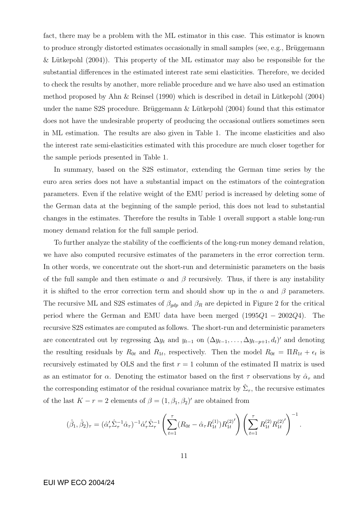fact, there may be a problem with the ML estimator in this case. This estimator is known to produce strongly distorted estimates occasionally in small samples (see, e.g., Brüggemann & Lütkepohl  $(2004)$ . This property of the ML estimator may also be responsible for the substantial differences in the estimated interest rate semi elasticities. Therefore, we decided to check the results by another, more reliable procedure and we have also used an estimation method proposed by Ahn  $\&$  Reinsel (1990) which is described in detail in Lütkepohl (2004) under the name S2S procedure. Brüggemann  $\&$  Lütkepohl (2004) found that this estimator does not have the undesirable property of producing the occasional outliers sometimes seen in ML estimation. The results are also given in Table 1. The income elasticities and also the interest rate semi-elasticities estimated with this procedure are much closer together for the sample periods presented in Table 1.

In summary, based on the S2S estimator, extending the German time series by the euro area series does not have a substantial impact on the estimators of the cointegration parameters. Even if the relative weight of the EMU period is increased by deleting some of the German data at the beginning of the sample period, this does not lead to substantial changes in the estimates. Therefore the results in Table 1 overall support a stable long-run money demand relation for the full sample period.

To further analyze the stability of the coefficients of the long-run money demand relation, we have also computed recursive estimates of the parameters in the error correction term. In other words, we concentrate out the short-run and deterministic parameters on the basis of the full sample and then estimate  $\alpha$  and  $\beta$  recursively. Thus, if there is any instability it is shifted to the error correction term and should show up in the  $\alpha$  and  $\beta$  parameters. The recursive ML and S2S estimates of  $\beta_{gdp}$  and  $\beta_R$  are depicted in Figure 2 for the critical period where the German and EMU data have been merged  $(1995Q1 - 2002Q4)$ . The recursive S2S estimates are computed as follows. The short-run and deterministic parameters are concentrated out by regressing  $\Delta y_t$  and  $y_{t-1}$  on  $(\Delta y_{t-1}, \ldots, \Delta y_{t-p+1}, d_t)'$  and denoting the resulting residuals by  $R_{0t}$  and  $R_{1t}$ , respectively. Then the model  $R_{0t} = \Pi R_{1t} + \epsilon_t$  is recursively estimated by OLS and the first  $r = 1$  column of the estimated  $\Pi$  matrix is used as an estimator for  $\alpha$ . Denoting the estimator based on the first  $\tau$  observations by  $\hat{\alpha}_{\tau}$  and the corresponding estimator of the residual covariance matrix by  $\hat{\Sigma}_{\tau}$ , the recursive estimates of the last  $K - r = 2$  elements of  $\beta = (1, \beta_1, \beta_2)'$  are obtained from

$$
(\hat{\beta}_1, \hat{\beta}_2)_{\tau} = (\hat{\alpha}'_{\tau} \hat{\Sigma}_{\tau}^{-1} \hat{\alpha}_{\tau})^{-1} \hat{\alpha}'_{\tau} \hat{\Sigma}_{\tau}^{-1} \left( \sum_{t=1}^{\tau} (R_{0t} - \hat{\alpha}_{\tau} R_{1t}^{(1)}) R_{1t}^{(2)}' \right) \left( \sum_{t=1}^{\tau} R_{1t}^{(2)} R_{1t}^{(2)}' \right)^{-1}.
$$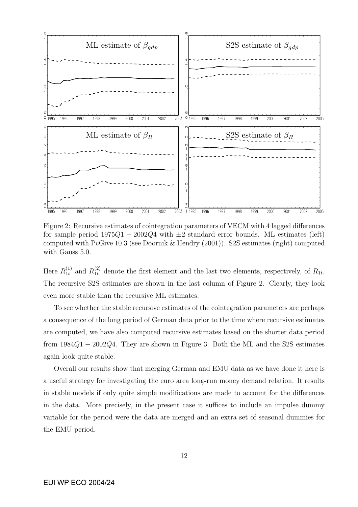

Figure 2: Recursive estimates of cointegration parameters of VECM with 4 lagged differences for sample period  $1975Q1 - 2002Q4$  with  $\pm 2$  standard error bounds. ML estimates (left) computed with PcGive 10.3 (see Doornik & Hendry (2001)). S2S estimates (right) computed with Gauss 5.0.

Here  $R_{1t}^{(1)}$  $_{1t}^{(1)}$  and  $R_{1t}^{(2)}$  denote the first element and the last two elements, respectively, of  $R_{1t}$ . The recursive S2S estimates are shown in the last column of Figure 2. Clearly, they look even more stable than the recursive ML estimates.

To see whether the stable recursive estimates of the cointegration parameters are perhaps a consequence of the long period of German data prior to the time where recursive estimates are computed, we have also computed recursive estimates based on the shorter data period from 1984Q1 − 2002Q4. They are shown in Figure 3. Both the ML and the S2S estimates again look quite stable.

Overall our results show that merging German and EMU data as we have done it here is a useful strategy for investigating the euro area long-run money demand relation. It results in stable models if only quite simple modifications are made to account for the differences in the data. More precisely, in the present case it suffices to include an impulse dummy variable for the period were the data are merged and an extra set of seasonal dummies for the EMU period.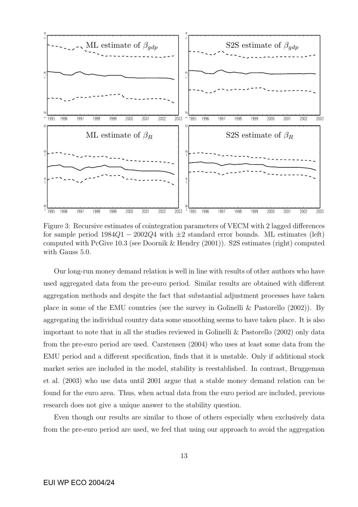

Figure 3: Recursive estimates of cointegration parameters of VECM with 2 lagged differences for sample period  $1984Q1 - 2002Q4$  with  $\pm 2$  standard error bounds. ML estimates (left) computed with PcGive 10.3 (see Doornik & Hendry (2001)). S2S estimates (right) computed with Gauss 5.0.

Our long-run money demand relation is well in line with results of other authors who have used aggregated data from the pre-euro period. Similar results are obtained with different aggregation methods and despite the fact that substantial adjustment processes have taken place in some of the EMU countries (see the survey in Golinelli & Pastorello (2002)). By aggregating the individual country data some smoothing seems to have taken place. It is also important to note that in all the studies reviewed in Golinelli & Pastorello (2002) only data from the pre-euro period are used. Carstensen (2004) who uses at least some data from the EMU period and a different specification, finds that it is unstable. Only if additional stock market series are included in the model, stability is reestablished. In contrast, Bruggeman et al. (2003) who use data until 2001 argue that a stable money demand relation can be found for the euro area. Thus, when actual data from the euro period are included, previous research does not give a unique answer to the stability question.

Even though our results are similar to those of others especially when exclusively data from the pre-euro period are used, we feel that using our approach to avoid the aggregation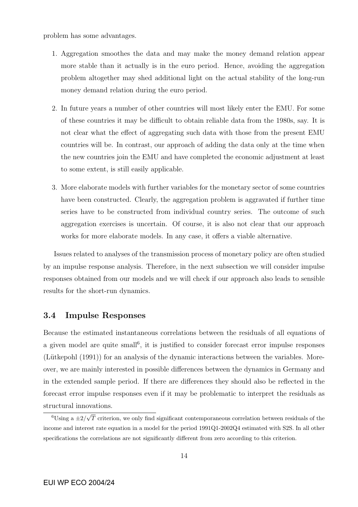problem has some advantages.

- 1. Aggregation smoothes the data and may make the money demand relation appear more stable than it actually is in the euro period. Hence, avoiding the aggregation problem altogether may shed additional light on the actual stability of the long-run money demand relation during the euro period.
- 2. In future years a number of other countries will most likely enter the EMU. For some of these countries it may be difficult to obtain reliable data from the 1980s, say. It is not clear what the effect of aggregating such data with those from the present EMU countries will be. In contrast, our approach of adding the data only at the time when the new countries join the EMU and have completed the economic adjustment at least to some extent, is still easily applicable.
- 3. More elaborate models with further variables for the monetary sector of some countries have been constructed. Clearly, the aggregation problem is aggravated if further time series have to be constructed from individual country series. The outcome of such aggregation exercises is uncertain. Of course, it is also not clear that our approach works for more elaborate models. In any case, it offers a viable alternative.

Issues related to analyses of the transmission process of monetary policy are often studied by an impulse response analysis. Therefore, in the next subsection we will consider impulse responses obtained from our models and we will check if our approach also leads to sensible results for the short-run dynamics.

#### 3.4 Impulse Responses

Because the estimated instantaneous correlations between the residuals of all equations of a given model are quite small<sup>6</sup>, it is justified to consider forecast error impulse responses  $(Lütkepohl (1991))$  for an analysis of the dynamic interactions between the variables. Moreover, we are mainly interested in possible differences between the dynamics in Germany and in the extended sample period. If there are differences they should also be reflected in the forecast error impulse responses even if it may be problematic to interpret the residuals as structural innovations.

 $\frac{6 \text{Using a} \pm 2}{\sqrt{ }}$ T criterion, we only find significant contemporaneous correlation between residuals of the income and interest rate equation in a model for the period 1991Q1-2002Q4 estimated with S2S. In all other specifications the correlations are not significantly different from zero according to this criterion.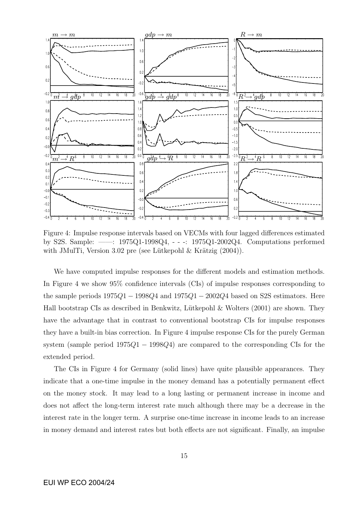

Figure 4: Impulse response intervals based on VECMs with four lagged differences estimated by S2S. Sample: ——: 1975Q1-1998Q4, - - -: 1975Q1-2002Q4. Computations performed with JMulTi, Version 3.02 pre (see Lütkepohl  $\&$  Krätzig  $(2004)$ ).

We have computed impulse responses for the different models and estimation methods. In Figure 4 we show 95% confidence intervals (CIs) of impulse responses corresponding to the sample periods  $1975Q1 - 1998Q4$  and  $1975Q1 - 2002Q4$  based on S2S estimators. Here Hall bootstrap CIs as described in Benkwitz, Lütkepohl & Wolters  $(2001)$  are shown. They have the advantage that in contrast to conventional bootstrap CIs for impulse responses they have a built-in bias correction. In Figure 4 impulse response CIs for the purely German system (sample period  $1975Q1 - 1998Q4$ ) are compared to the corresponding CIs for the extended period.

The CIs in Figure 4 for Germany (solid lines) have quite plausible appearances. They indicate that a one-time impulse in the money demand has a potentially permanent effect on the money stock. It may lead to a long lasting or permanent increase in income and does not affect the long-term interest rate much although there may be a decrease in the interest rate in the longer term. A surprise one-time increase in income leads to an increase in money demand and interest rates but both effects are not significant. Finally, an impulse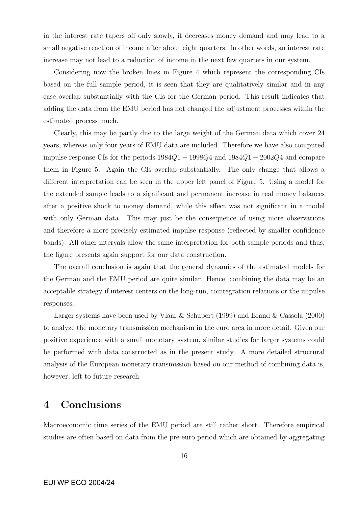in the interest rate tapers off only slowly, it decreases money demand and may lead to a small negative reaction of income after about eight quarters. In other words, an interest rate increase may not lead to a reduction of income in the next few quarters in our system.

Considering now the broken lines in Figure 4 which represent the corresponding CIs based on the full sample period, it is seen that they are qualitatively similar and in any case overlap substantially with the CIs for the German period. This result indicates that adding the data from the EMU period has not changed the adjustment processes within the estimated process much.

Clearly, this may be partly due to the large weight of the German data which cover 24 years, whereas only four years of EMU data are included. Therefore we have also computed impulse response CIs for the periods  $1984Q1 - 1998Q4$  and  $1984Q1 - 2002Q4$  and compare them in Figure 5. Again the CIs overlap substantially. The only change that allows a different interpretation can be seen in the upper left panel of Figure 5. Using a model for the extended sample leads to a significant and permanent increase in real money balances after a positive shock to money demand, while this effect was not significant in a model with only German data. This may just be the consequence of using more observations and therefore a more precisely estimated impulse response (reflected by smaller confidence bands). All other intervals allow the same interpretation for both sample periods and thus, the figure presents again support for our data construction.

The overall conclusion is again that the general dynamics of the estimated models for the German and the EMU period are quite similar. Hence, combining the data may be an acceptable strategy if interest centers on the long-run, cointegration relations or the impulse responses.

Larger systems have been used by Vlaar & Schubert (1999) and Brand & Cassola (2000) to analyze the monetary transmission mechanism in the euro area in more detail. Given our positive experience with a small monetary system, similar studies for larger systems could be performed with data constructed as in the present study. A more detailed structural analysis of the European monetary transmission based on our method of combining data is, however, left to future research.

### 4 Conclusions

Macroeconomic time series of the EMU period are still rather short. Therefore empirical studies are often based on data from the pre-euro period which are obtained by aggregating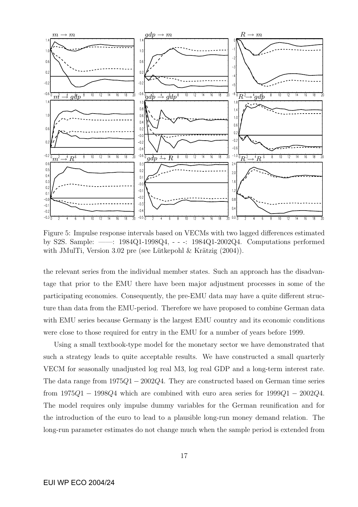

Figure 5: Impulse response intervals based on VECMs with two lagged differences estimated by S2S. Sample: ——: 1984Q1-1998Q4, - - -: 1984Q1-2002Q4. Computations performed with JMulTi, Version 3.02 pre (see Lütkepohl  $\&$  Krätzig  $(2004)$ ).

the relevant series from the individual member states. Such an approach has the disadvantage that prior to the EMU there have been major adjustment processes in some of the participating economies. Consequently, the pre-EMU data may have a quite different structure than data from the EMU-period. Therefore we have proposed to combine German data with EMU series because Germany is the largest EMU country and its economic conditions were close to those required for entry in the EMU for a number of years before 1999.

Using a small textbook-type model for the monetary sector we have demonstrated that such a strategy leads to quite acceptable results. We have constructed a small quarterly VECM for seasonally unadjusted log real M3, log real GDP and a long-term interest rate. The data range from  $1975Q1 - 2002Q4$ . They are constructed based on German time series from  $1975Q1 - 1998Q4$  which are combined with euro area series for  $1999Q1 - 2002Q4$ . The model requires only impulse dummy variables for the German reunification and for the introduction of the euro to lead to a plausible long-run money demand relation. The long-run parameter estimates do not change much when the sample period is extended from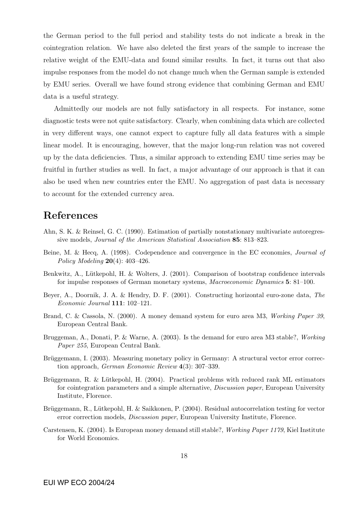the German period to the full period and stability tests do not indicate a break in the cointegration relation. We have also deleted the first years of the sample to increase the relative weight of the EMU-data and found similar results. In fact, it turns out that also impulse responses from the model do not change much when the German sample is extended by EMU series. Overall we have found strong evidence that combining German and EMU data is a useful strategy.

Admittedly our models are not fully satisfactory in all respects. For instance, some diagnostic tests were not quite satisfactory. Clearly, when combining data which are collected in very different ways, one cannot expect to capture fully all data features with a simple linear model. It is encouraging, however, that the major long-run relation was not covered up by the data deficiencies. Thus, a similar approach to extending EMU time series may be fruitful in further studies as well. In fact, a major advantage of our approach is that it can also be used when new countries enter the EMU. No aggregation of past data is necessary to account for the extended currency area.

### References

- Ahn, S. K. & Reinsel, G. C. (1990). Estimation of partially nonstationary multivariate autoregressive models, Journal of the American Statistical Association 85: 813–823.
- Beine, M. & Hecq, A. (1998). Codependence and convergence in the EC economies, Journal of Policy Modeling  $20(4)$ : 403-426.
- Benkwitz, A., Lütkepohl, H. & Wolters, J. (2001). Comparison of bootstrap confidence intervals for impulse responses of German monetary systems, Macroeconomic Dynamics 5: 81–100.
- Beyer, A., Doornik, J. A. & Hendry, D. F. (2001). Constructing horizontal euro-zone data, The Economic Journal 111: 102–121.
- Brand, C. & Cassola, N. (2000). A money demand system for euro area M3, Working Paper 39, European Central Bank.
- Bruggeman, A., Donati, P. & Warne, A. (2003). Is the demand for euro area M3 stable?, Working Paper 255, European Central Bank.
- Brüggemann, I. (2003). Measuring monetary policy in Germany: A structural vector error correction approach, German Economic Review 4(3): 307–339.
- Brüggemann, R. & Lütkepohl, H. (2004). Practical problems with reduced rank ML estimators for cointegration parameters and a simple alternative, Discussion paper, European University Institute, Florence.
- Brüggemann, R., Lütkepohl, H. & Saikkonen, P. (2004). Residual autocorrelation testing for vector error correction models, Discussion paper, European University Institute, Florence.
- Carstensen, K. (2004). Is European money demand still stable?, Working Paper 1179, Kiel Institute for World Economics.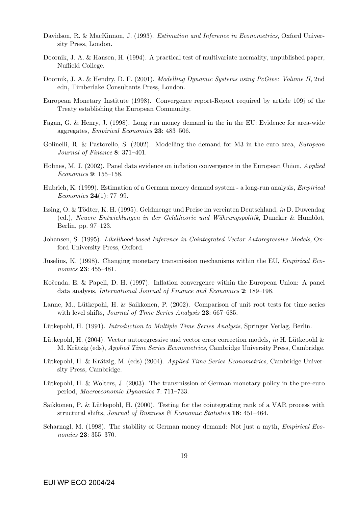- Davidson, R. & MacKinnon, J. (1993). *Estimation and Inference in Econometrics*, Oxford University Press, London.
- Doornik, J. A. & Hansen, H. (1994). A practical test of multivariate normality, unpublished paper, Nuffield College.
- Doornik, J. A. & Hendry, D. F. (2001). *Modelling Dynamic Systems using PcGive: Volume II*, 2nd edn, Timberlake Consultants Press, London.
- European Monetary Institute (1998). Convergence report-Report required by article 109j of the Treaty establishing the European Community.
- Fagan, G. & Henry, J. (1998). Long run money demand in the in the EU: Evidence for area-wide aggregates, Empirical Economics 23: 483–506.
- Golinelli, R. & Pastorello, S. (2002). Modelling the demand for M3 in the euro area, *European* Journal of Finance 8: 371–401.
- Holmes, M. J. (2002). Panel data evidence on inflation convergence in the European Union, Applied Economics 9: 155–158.
- Hubrich, K. (1999). Estimation of a German money demand system a long-run analysis, Empirical *Economics* **24**(1): 77–99.
- Issing, O. & Tödter, K. H. (1995). Geldmenge und Preise im vereinten Deutschland, in D. Duwendag (ed.), Neuere Entwicklungen in der Geldtheorie und W¨ahrungspolitik, Duncker & Humblot, Berlin, pp. 97–123.
- Johansen, S. (1995). Likelihood-based Inference in Cointegrated Vector Autoregressive Models, Oxford University Press, Oxford.
- Juselius, K. (1998). Changing monetary transmission mechanisms within the EU, Empirical Economics 23: 455–481.
- Kočenda, E. & Papell, D. H. (1997). Inflation convergence within the European Union: A panel data analysis, International Journal of Finance and Economics 2: 189–198.
- Lanne, M., Lütkepohl, H. & Saikkonen, P. (2002). Comparison of unit root tests for time series with level shifts, *Journal of Time Series Analysis* 23: 667–685.
- Lütkepohl, H. (1991). *Introduction to Multiple Time Series Analysis*, Springer Verlag, Berlin.
- Lütkepohl, H. (2004). Vector autoregressive and vector error correction models, in H. Lütkepohl & M. Krätzig (eds), *Applied Time Series Econometrics*, Cambridge University Press, Cambridge.
- Lütkepohl, H. & Krätzig, M. (eds)  $(2004)$ . Applied Time Series Econometrics, Cambridge University Press, Cambridge.
- Lütkepohl, H. & Wolters, J.  $(2003)$ . The transmission of German monetary policy in the pre-euro period, Macroeconomic Dynamics 7: 711–733.
- Saikkonen, P. & Lütkepohl, H. (2000). Testing for the cointegrating rank of a VAR process with structural shifts, Journal of Business & Economic Statistics 18: 451-464.
- Scharnagl, M. (1998). The stability of German money demand: Not just a myth, Empirical Economics 23: 355–370.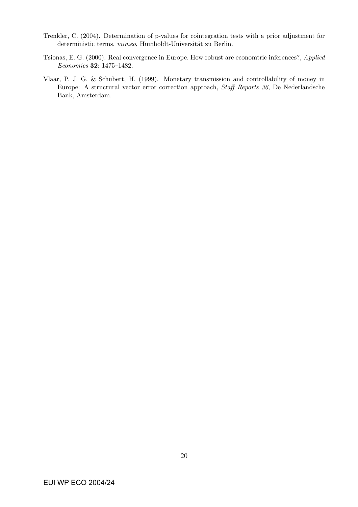- Trenkler, C. (2004). Determination of p-values for cointegration tests with a prior adjustment for deterministic terms, mimeo, Humboldt-Universität zu Berlin.
- Tsionas, E. G. (2000). Real convergence in Europe. How robust are economtric inferences?, Applied Economics 32: 1475–1482.
- Vlaar, P. J. G. & Schubert, H. (1999). Monetary transmission and controllability of money in Europe: A structural vector error correction approach, Staff Reports 36, De Nederlandsche Bank, Amsterdam.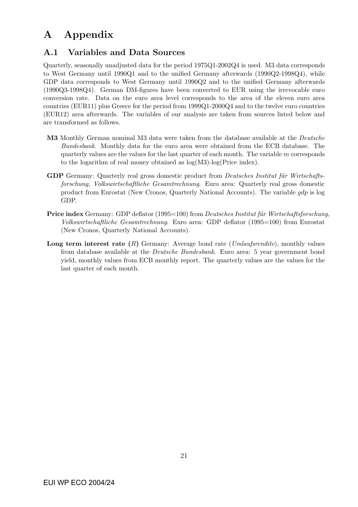## A Appendix

### A.1 Variables and Data Sources

Quarterly, seasonally unadjusted data for the period 1975Q1-2002Q4 is used. M3 data corresponds to West Germany until 1990Q1 and to the unified Germany afterwards (1990Q2-1998Q4), while GDP data corresponds to West Germany until 1990Q2 and to the unified Germany afterwards (1990Q3-1998Q4). German DM-figures have been converted to EUR using the irrevocable euro conversion rate. Data on the euro area level corresponds to the area of the eleven euro area countries (EUR11) plus Greece for the period from 1999Q1-2000Q4 and to the twelve euro countries (EUR12) area afterwards. The variables of our analysis are taken from sources listed below and are transformed as follows.

- M3 Monthly German nominal M3 data were taken from the database available at the Deutsche Bundesbank. Monthly data for the euro area were obtained from the ECB database. The quarterly values are the values for the last quarter of each month. The variable  $m$  corresponds to the logarithm of real money obtained as log(M3)-log(Price index).
- GDP Germany: Quarterly real gross domestic product from *Deutsches Institut für Wirtschafts*forschung, Volkswirtschaftliche Gesamtrechnung. Euro area: Quarterly real gross domestic product from Eurostat (New Cronos, Quarterly National Accounts). The variable gdp is log GDP.
- Price index Germany: GDP deflator (1995=100) from *Deutsches Institut für Wirtschaftsforschung*, Volkswirtschaftliche Gesamtrechnung. Euro area: GDP deflator (1995=100) from Eurostat (New Cronos, Quarterly National Accounts).
- **Long term interest rate**  $(R)$  Germany: Average bond rate (*Umlaufsrendite*), monthly values from database available at the Deutsche Bundesbank. Euro area: 5 year government bond yield, monthly values from ECB monthly report. The quarterly values are the values for the last quarter of each month.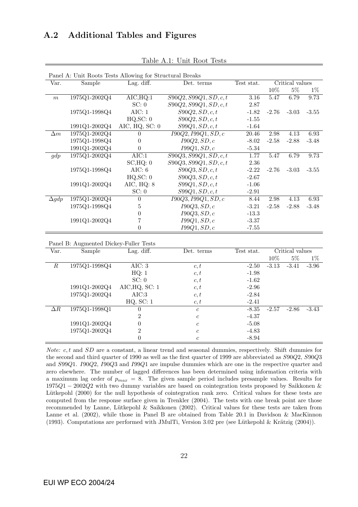### A.2 Additional Tables and Figures

| Panel A: Unit Roots Tests Allowing for Structural Breaks |               |                                     |                                             |                    |                 |         |         |  |  |
|----------------------------------------------------------|---------------|-------------------------------------|---------------------------------------------|--------------------|-----------------|---------|---------|--|--|
| Var.                                                     | Sample        | $\overline{\text{Lag. diff.}}$      | Det. terms<br>Test stat.<br>Critical values |                    |                 |         |         |  |  |
|                                                          |               |                                     |                                             |                    | 10%             | $5\%$   | $1\%$   |  |  |
| $\boldsymbol{m}$                                         | 1975Q1-2002Q4 | $\overline{\text{AIC},\text{HQ}:1}$ | $\overline{S90Q2, S99Q1, SD, c, t}$         | 3.16<br>5.47       |                 | 6.79    | 9.73    |  |  |
|                                                          |               | SC: 0                               | S90Q2, S99Q1, SD, c, t                      | 2.87               |                 |         |         |  |  |
|                                                          | 1975Q1-1998Q4 | AIC: $1$                            | S90Q2, SD, c, t                             | $-1.82$            | $-2.76$         | $-3.03$ | $-3.55$ |  |  |
|                                                          |               | HQ, SC: 0                           | S90Q2, SD, c, t                             | $-1.55$            |                 |         |         |  |  |
|                                                          | 1991Q1-2002Q4 | AIC, $HQ$ , SC: 0                   | S99Q1, SD, c, t                             | $-1.64$            |                 |         |         |  |  |
| $\Delta m$                                               | 1975Q1-2002Q4 | $\theta$                            | I90Q2, I99Q1, SD, c                         | 20.46              | 2.98            | 4.13    | 6.93    |  |  |
|                                                          | 1975Q1-1998Q4 | $\overline{0}$                      | I90Q2, SD, c                                | $-8.02$<br>$-2.58$ |                 | $-2.88$ | $-3.48$ |  |  |
|                                                          | 1991Q1-2002Q4 | $\boldsymbol{0}$                    | I99Q1, SD, c                                | $-5.34$            |                 |         |         |  |  |
| gdp                                                      | 1975Q1-2002Q4 | AIC:1                               | S90Q3, S99Q1, SD, c, t                      | 1.77<br>5.47       |                 | 6.79    | 9.73    |  |  |
|                                                          |               | SC, HQ: 0                           | S90Q3, S99Q1, SD, c, t                      | 2.36               |                 |         |         |  |  |
|                                                          | 1975Q1-1998Q4 | AIC: 6                              | S90Q3, SD, c, t                             | $-2.22$            | $-2.76$         | $-3.03$ | $-3.55$ |  |  |
|                                                          |               | HQ, SC: 0                           | S90Q3, SD, c, t                             | $-2.67$            |                 |         |         |  |  |
|                                                          | 1991Q1-2002Q4 | AIC, HQ: 8                          | S99Q1, SD, c, t                             | $-1.06$            |                 |         |         |  |  |
|                                                          |               | SC: 0                               | S99Q1, SD, c, t                             | $-2.91$            |                 |         |         |  |  |
| $\Delta gdp$                                             | 1975Q1-2002Q4 | $\boldsymbol{0}$                    | I90Q3, I99Q1, SD, c                         | 8.44               | 2.98            | 4.13    | 6.93    |  |  |
|                                                          | 1975Q1-1998Q4 | $\overline{5}$                      | I90Q3, SD, c                                | $-3.21$            | $-2.58$         | $-2.88$ | $-3.48$ |  |  |
|                                                          |               | $\boldsymbol{0}$                    | I90Q3, SD, c                                | $-13.3$            |                 |         |         |  |  |
|                                                          | 1991Q1-2002Q4 | $\overline{7}$                      | I99Q1, SD, c                                | $-3.37$            |                 |         |         |  |  |
|                                                          |               | $\overline{0}$                      | I99Q1, SD, c                                | $-7.55$            |                 |         |         |  |  |
| Panel B: Augmented Dickey-Fuller Tests                   |               |                                     |                                             |                    |                 |         |         |  |  |
|                                                          |               |                                     |                                             |                    |                 |         |         |  |  |
| Var.                                                     | Sample        | Lag. diff.                          | Det. terms                                  | Test stat.         | Critical values |         |         |  |  |
|                                                          |               |                                     |                                             |                    | $10\%$          | $5\%$   | $1\%$   |  |  |
| $\overline{R}$                                           | 1975Q1-1998Q4 | AIC: 3                              | c, t                                        | $-2.50$            | $-3.13$         | $-3.41$ | $-3.96$ |  |  |
|                                                          |               | HQ: 1                               | c, t                                        | $-1.98$            |                 |         |         |  |  |
|                                                          |               | SC: 0                               | c, t                                        | $-1.62$            |                 |         |         |  |  |
|                                                          | 1991Q1-2002Q4 | AIC, HQ, SC: 1                      | c, t                                        | $-2.96$            |                 |         |         |  |  |
|                                                          | 1975Q1-2002Q4 | AIC:3                               | c, t                                        | $-2.84$            |                 |         |         |  |  |
|                                                          |               | HQ, SC: 1                           | c, t                                        | $-2.41$            |                 |         |         |  |  |
| $\overline{\Delta R}$                                    | 1975Q1-1998Q1 | $\overline{0}$                      | $\boldsymbol{c}$                            | $-8.35$            | $-2.57$         | $-2.86$ | $-3.43$ |  |  |
|                                                          |               | $\overline{2}$                      | $\boldsymbol{c}$                            | $-4.37$            |                 |         |         |  |  |
|                                                          | 1991Q1-2002Q4 | $\boldsymbol{0}$                    | $\boldsymbol{c}$                            | $-5.08$            |                 |         |         |  |  |
|                                                          | 1975Q1-2002Q4 | $\overline{2}$                      | $\boldsymbol{c}$                            | $-4.83$            |                 |         |         |  |  |
|                                                          |               | $\boldsymbol{0}$                    | $\overline{c}$                              | $-8.94$            |                 |         |         |  |  |
|                                                          |               |                                     |                                             |                    |                 |         |         |  |  |

Table A.1: Unit Root Tests

Note: c, t and SD are a constant, a linear trend and seasonal dummies, respectively. Shift dummies for the second and third quarter of 1990 as well as the first quarter of 1999 are abbreviated as S90Q2, S90Q3 and S99Q1. I90Q2, I90Q3 and I99Q1 are impulse dummies which are one in the respective quarter and zero elsewhere. The number of lagged differences has been determined using information criteria with a maximum lag order of  $p_{max} = 8$ . The given sample period includes presample values. Results for 1975Q1 − 2002Q2 with two dummy variables are based on cointegration tests proposed by Saikkonen & Lütkepohl (2000) for the null hypothesis of cointegration rank zero. Critical values for these tests are computed from the response surface given in Trenkler (2004). The tests with one break point are those recommended by Lanne, Lütkepohl & Saikkonen (2002). Critical values for these tests are taken from Lanne et al. (2002), while those in Panel B are obtained from Table 20.1 in Davidson & MacKinnon (1993). Computations are performed with JMulTi, Version 3.02 pre (see Lütkepohl & Krätzig (2004)).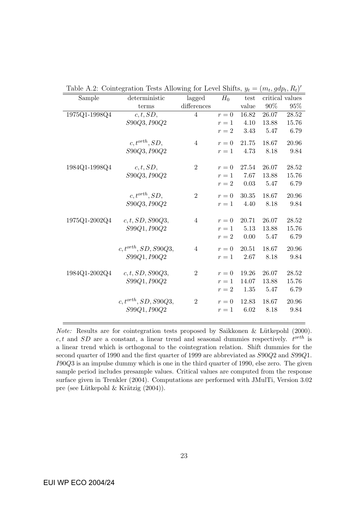| Sample        | deterministic             | lagged         | $H_0$ | test  |       | critical values |
|---------------|---------------------------|----------------|-------|-------|-------|-----------------|
|               | terms                     | $differences$  |       | value | 90%   | 95%             |
| 1975Q1-1998Q4 | c, t, SD,                 | $\overline{4}$ | $r=0$ | 16.82 | 26.07 | 28.52           |
|               | S90Q3, I90Q2              |                | $r=1$ | 4.10  | 13.88 | 15.76           |
|               |                           |                | $r=2$ | 3.43  | 5.47  | 6.79            |
|               | $c, t^{orth}, SD,$        | $\overline{4}$ | $r=0$ | 21.75 | 18.67 | 20.96           |
|               | S90Q3, I90Q2              |                | $r=1$ | 4.73  | 8.18  | 9.84            |
| 1984Q1-1998Q4 | c, t, SD,                 | $\overline{2}$ | $r=0$ | 27.54 | 26.07 | 28.52           |
|               | S90Q3, I90Q2              |                | $r=1$ | 7.67  | 13.88 | 15.76           |
|               |                           |                | $r=2$ | 0.03  | 5.47  | 6.79            |
|               |                           |                |       |       |       |                 |
|               | $c, t^{orth}, SD,$        | $\overline{2}$ | $r=0$ | 30.35 | 18.67 | 20.96           |
|               | S90Q3, I90Q2              |                | $r=1$ | 4.40  | 8.18  | 9.84            |
| 1975Q1-2002Q4 | c, t, SD, S90Q3,          | $\overline{4}$ | $r=0$ | 20.71 | 26.07 | 28.52           |
|               | S99Q1, I90Q2              |                | $r=1$ | 5.13  | 13.88 | 15.76           |
|               |                           |                | $r=2$ | 0.00  | 5.47  | 6.79            |
|               | $c, t^{orth}, SD, S90Q3,$ | $\overline{4}$ | $r=0$ | 20.51 | 18.67 | 20.96           |
|               | S99Q1, I90Q2              |                | $r=1$ | 2.67  | 8.18  | 9.84            |
| 1984Q1-2002Q4 | c, t, SD, S90Q3,          | $\overline{2}$ | $r=0$ | 19.26 | 26.07 | 28.52           |
|               | S99Q1, I90Q2              |                | $r=1$ | 14.07 | 13.88 | 15.76           |
|               |                           |                | $r=2$ | 1.35  | 5.47  | 6.79            |
|               |                           |                |       |       |       |                 |
|               | $c, t^{orth}, SD, S90Q3,$ | $\overline{2}$ | $r=0$ | 12.83 | 18.67 | 20.96           |
|               | S99Q1, I90Q2              |                | $r=1$ | 6.02  | 8.18  | 9.84            |
|               |                           |                |       |       |       |                 |

Table A.2: Cointegration Tests Allowing for Level Shifts,  $y_t = (m_t, gdp_t, R_t)'$ 

*Note:* Results are for cointegration tests proposed by Saikkonen & Lütkepohl  $(2000)$ . c, t and SD are a constant, a linear trend and seasonal dummies respectively.  $t^{orth}$  is a linear trend which is orthogonal to the cointegration relation. Shift dummies for the second quarter of 1990 and the first quarter of 1999 are abbreviated as S90Q2 and S99Q1. I90Q3 is an impulse dummy which is one in the third quarter of 1990, else zero. The given sample period includes presample values. Critical values are computed from the response surface given in Trenkler (2004). Computations are performed with JMulTi, Version 3.02 pre (see Lütkepohl & Krätzig (2004)).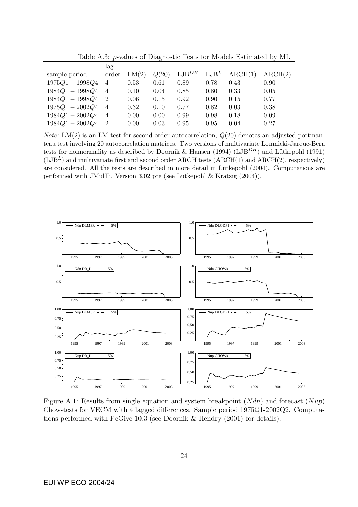|                   | lag            |       |       |            |                  |         |         |
|-------------------|----------------|-------|-------|------------|------------------|---------|---------|
| sample period     | order          | LM(2) | Q(20) | $LJB^{DH}$ | LJB <sup>L</sup> | ARCH(1) | ARCH(2) |
| $1975Q1 - 1998Q4$ | $\overline{4}$ | 0.53  | 0.61  | 0.89       | 0.78             | 0.43    | 0.90    |
| $1984Q1 - 1998Q4$ | 4              | 0.10  | 0.04  | 0.85       | 0.80             | 0.33    | 0.05    |
| $1984Q1 - 1998Q4$ | $\overline{2}$ | 0.06  | 0.15  | 0.92       | 0.90             | 0.15    | 0.77    |
| $1975Q1 - 2002Q4$ | -4             | 0.32  | 0.10  | 0.77       | 0.82             | 0.03    | 0.38    |
| $1984Q1 - 2002Q4$ | $\overline{4}$ | 0.00  | 0.00  | 0.99       | 0.98             | 0.18    | 0.09    |
| $1984Q1 - 2002Q4$ | -2             | 0.00  | 0.03  | 0.95       | 0.95             | 0.04    | 0.27    |

Table A.3: p-values of Diagnostic Tests for Models Estimated by ML

*Note:* LM(2) is an LM test for second order autocorrelation,  $Q(20)$  denotes an adjusted portmanteau test involving 20 autocorrelation matrices. Two versions of multivariate Lomnicki-Jarque-Bera tests for nonnormality as described by Doornik & Hansen (1994) (LJB<sup>DH</sup>) and Lütkepohl (1991)  $(LJB<sup>L</sup>)$  and multivariate first and second order ARCH tests (ARCH(1) and ARCH(2), respectively) are considered. All the tests are described in more detail in Lütkepohl (2004). Computations are performed with JMulTi, Version 3.02 pre (see Lütkepohl  $\&$  Krätzig (2004)).



Figure A.1: Results from single equation and system breakpoint  $(Ndn)$  and forecast  $(Nup)$ Chow-tests for VECM with 4 lagged differences. Sample period 1975Q1-2002Q2. Computations performed with PcGive 10.3 (see Doornik & Hendry (2001) for details).